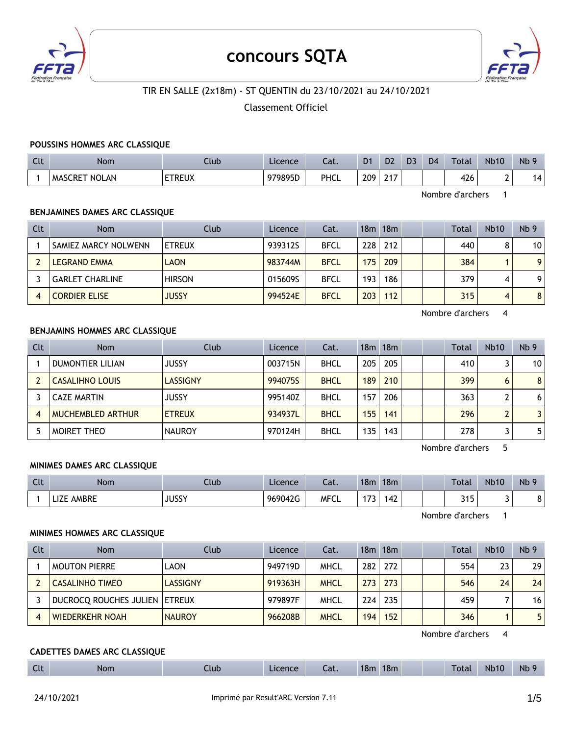

# **concours SQTA**



## TIR EN SALLE (2x18m) - ST QUENTIN du 23/10/2021 au 24/10/2021

Classement Officiel

#### **POUSSINS HOMMES ARC CLASSIQUE**

| $\sim$<br>UU | <b>Nom</b>                     | Jlub          | Licence | Lat. | D <sub>1</sub> | D <sub>2</sub> | D3 | D <sub>4</sub> | Total | <b>Nb10</b> | Nb <sub>9</sub> |
|--------------|--------------------------------|---------------|---------|------|----------------|----------------|----|----------------|-------|-------------|-----------------|
|              | <b>NOLAN</b><br><b>MASCRET</b> | <b>FTREUX</b> | 979895D | PHCL | 209<br>__      | າ 4 7          |    |                | 426   | -<br>-      | 14 I            |

Nombre d'archers 1

## **BENJAMINES DAMES ARC CLASSIQUE**

| Clt | <b>Nom</b>             | Club          | Licence | Cat.        |      | 18m 18m |  | Total | <b>Nb10</b> | Nb <sub>9</sub> |
|-----|------------------------|---------------|---------|-------------|------|---------|--|-------|-------------|-----------------|
|     | SAMIEZ MARCY NOLWENN   | ETREUX        | 939312S | <b>BFCL</b> | 2281 | 212     |  | 440   | 8           | 10              |
|     | LEGRAND EMMA           | <b>LAON</b>   | 983744M | <b>BFCL</b> | 175  | 209     |  | 384   |             | 9               |
|     | <b>GARLET CHARLINE</b> | <b>HIRSON</b> | 015609S | <b>BFCL</b> | 193  | 186     |  | 379   | 4           | 9               |
| 4   | <b>CORDIER ELISE</b>   | <b>JUSSY</b>  | 994524E | <b>BFCL</b> | 203  | 112     |  | 315   | 4           | 8               |

Nombre d'archers 4

#### **BENJAMINS HOMMES ARC CLASSIQUE**

| Clt            | <b>Nom</b>               | Club            | Licence | Cat.        |     | $18m$ 18 $m$ |  | Total | <b>Nb10</b> | Nb <sub>9</sub> |
|----------------|--------------------------|-----------------|---------|-------------|-----|--------------|--|-------|-------------|-----------------|
|                | <b>DUMONTIER LILIAN</b>  | JUSSY           | 003715N | <b>BHCL</b> | 205 | 205          |  | 410   |             | 10 <sup>1</sup> |
|                | <b>CASALIHNO LOUIS</b>   | <b>LASSIGNY</b> | 994075S | <b>BHCL</b> | 189 | 210          |  | 399   | 6           | 8 <sup>1</sup>  |
|                | <b>CAZE MARTIN</b>       | JUSSY           | 995140Z | <b>BHCL</b> | 157 | 206          |  | 363   |             | 6               |
| $\overline{4}$ | <b>MUCHEMBLED ARTHUR</b> | <b>ETREUX</b>   | 934937L | <b>BHCL</b> | 155 | 141          |  | 296   |             | 3 <sup>1</sup>  |
|                | MOIRET THEO              | <b>NAUROY</b>   | 970124H | <b>BHCL</b> | 135 | 143          |  | 278   |             | 5 <sup>1</sup>  |

Nombre d'archers 5

#### **MINIMES DAMES ARC CLASSIQUE**

| Clt | <b>Nom</b>      | Llub         | Licence | Cat.        | 18 <sub>m</sub>                             | 18 <sub>m</sub> |  | Total       | <b>Nb10</b> | N <sub>b</sub> 9 |
|-----|-----------------|--------------|---------|-------------|---------------------------------------------|-----------------|--|-------------|-------------|------------------|
|     | : AMBRE<br>LILE | <b>JUSSY</b> | 969042G | <b>MFCL</b> | $\overline{\phantom{a}}$<br>$\epsilon$<br>. | ' 42            |  | 24F<br>ر ار |             |                  |

Nombre d'archers 1

#### **MINIMES HOMMES ARC CLASSIQUE**

| Clt | Nom                           | Club            | Licence | Cat.        |     | 18m 18m |  | Total | <b>Nb10</b> | Nb <sub>9</sub> |
|-----|-------------------------------|-----------------|---------|-------------|-----|---------|--|-------|-------------|-----------------|
|     | <b>MOUTON PIERRE</b>          | LAON            | 949719D | <b>MHCL</b> | 282 | 272     |  | 554   | 23          | 29              |
|     | CASALINHO TIMEO               | <b>LASSIGNY</b> | 919363H | <b>MHCL</b> | 273 | 273     |  | 546   | 24          | 24              |
|     | DUCROCQ ROUCHES JULIEN ETREUX |                 | 979897F | <b>MHCL</b> | 224 | 235     |  | 459   |             | 16              |
|     | <b>WIEDERKEHR NOAH</b>        | <b>NAUROY</b>   | 966208B | <b>MHCL</b> | 194 | 152     |  | 346   |             |                 |

Nombre d'archers 4

## **CADETTES DAMES ARC CLASSIQUE**

| 18m<br>$\sim$ 1.<br>Nb <sub>9</sub><br>18m<br>- 1<br><b>Nb10</b><br>Total<br>Licence<br><b>Nom</b><br>Llub <sub>-</sub><br>$\sim$<br>cal.<br>しいし |
|--------------------------------------------------------------------------------------------------------------------------------------------------|
|--------------------------------------------------------------------------------------------------------------------------------------------------|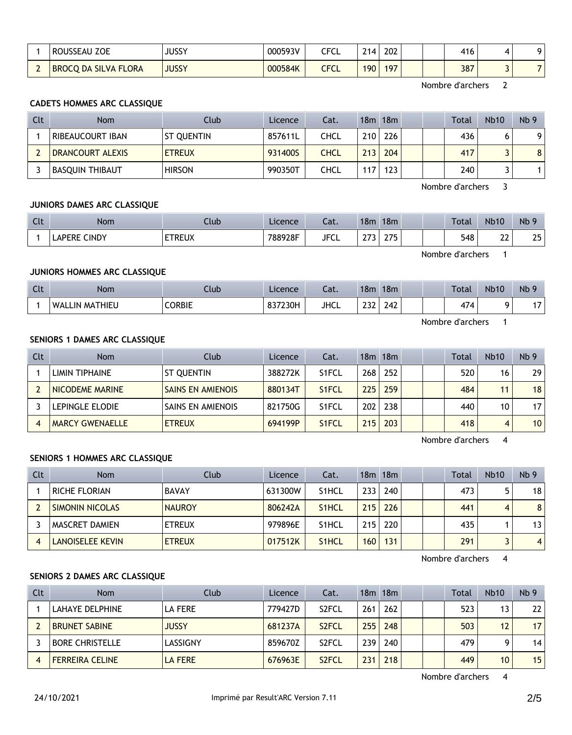|                                      | ROUSSEAU ZOE                | JUSSY        | 000593V | CECI<br>ו שו  | 214.             | 202 |  | 416 |  |
|--------------------------------------|-----------------------------|--------------|---------|---------------|------------------|-----|--|-----|--|
| $\overline{\phantom{a}}$<br><b>L</b> | <b>BROCQ DA SILVA FLORA</b> | <b>JUSSY</b> | 000584K | CECI<br>しし しし | 190 <sub>1</sub> | 197 |  | 387 |  |

Nombre d'archers 2

## **CADETS HOMMES ARC CLASSIQUE**

| Clt | <b>Nom</b>       | Club              | Licence | Cat.        |     | 18m 18m |  | <b>Total</b> | <b>Nb10</b> | Nb <sub>9</sub> |
|-----|------------------|-------------------|---------|-------------|-----|---------|--|--------------|-------------|-----------------|
|     | RIBEAUCOURT IBAN | <b>ST OUENTIN</b> | 857611L | CHCL        | 210 | 226     |  | 436          |             | 9               |
|     | DRANCOURT ALEXIS | <b>ETREUX</b>     | 931400S | <b>CHCL</b> | 213 | 204     |  | 417          |             | 8               |
|     | BASQUIN THIBAUT  | <b>HIRSON</b>     | 990350T | CHCL        | 17  | 123     |  | 240          |             |                 |

Nombre d'archers 3

#### **JUNIORS DAMES ARC CLASSIQUE**

| $\sim$<br>しいし | Nom                           | Club              | Licence | $\sim$<br>-al. | 18 <sub>π</sub> | 18 <sub>m</sub> |  | Total | <b>Nb10</b>  | Nb <sub>9</sub> |
|---------------|-------------------------------|-------------------|---------|----------------|-----------------|-----------------|--|-------|--------------|-----------------|
|               | <b>CINDY</b><br><b>LAPERE</b> | ETDELIV<br>' REUA | 788928F | <b>JFCL</b>    | $\sim$ $-$      | っっこ<br>ັ        |  | 548   | $\sim$<br>∸∸ | つに              |

Nombre d'archers 1

## **JUNIORS HOMMES ARC CLASSIQUE**

| $C1+$<br><b>CU</b> | Nom                        | Club          | Licence | -1<br>-al.  | 18 <sub>m</sub> | 18m |  | Total | <b>Nb10</b> | Nb <sub>9</sub>       |
|--------------------|----------------------------|---------------|---------|-------------|-----------------|-----|--|-------|-------------|-----------------------|
|                    | LIN MATHIEU<br><b>WALL</b> | <b>CORBIE</b> | 837230H | <b>JHCL</b> | $\sim$<br>LJL   | 242 |  | 474   |             | . –<br>$\blacksquare$ |

Nombre d'archers 1

## **SENIORS 1 DAMES ARC CLASSIQUE**

| <b>Clt</b> | <b>Nom</b>             | Club                     | Licence | Cat.               |     | 18m 18m |  | Total | <b>Nb10</b> | Nb <sub>9</sub> |
|------------|------------------------|--------------------------|---------|--------------------|-----|---------|--|-------|-------------|-----------------|
|            | LIMIN TIPHAINE         | ST QUENTIN               | 388272K | S <sub>1</sub> FCL | 268 | 252     |  | 520   | 16          | 29 I            |
|            | NICODEME MARINE        | <b>SAINS EN AMIENOIS</b> | 880134T | S <sub>1</sub> FCL | 225 | 259     |  | 484   | 11          | 18 <sup>1</sup> |
|            | LEPINGLE ELODIE        | SAINS EN AMIENOIS        | 821750G | S <sub>1</sub> FCL | 202 | 238     |  | 440   | 10          | 17 <sup>1</sup> |
|            | <b>MARCY GWENAELLE</b> | <b>ETREUX</b>            | 694199P | S <sub>1</sub> FCL | 215 | 203     |  | 418   | 4           | 10 <sup>1</sup> |

Nombre d'archers 4

#### **SENIORS 1 HOMMES ARC CLASSIQUE**

| Clt | <b>Nom</b>              | Club          | Licence | Cat.               |     | 18m 18m |  | Total | <b>Nb10</b> | Nb <sub>9</sub> |
|-----|-------------------------|---------------|---------|--------------------|-----|---------|--|-------|-------------|-----------------|
|     | <b>RICHE FLORIAN</b>    | <b>BAVAY</b>  | 631300W | S <sub>1</sub> HCL | 233 | 240     |  | 473   |             | 18              |
|     | <b>SIMONIN NICOLAS</b>  | <b>NAUROY</b> | 806242A | S <sub>1</sub> HCL | 215 | 226     |  | 441   |             | 8               |
|     | MASCRET DAMIEN          | <b>ETREUX</b> | 979896E | S <sub>1</sub> HCL | 215 | 220     |  | 435   |             | 13              |
|     | <b>LANOISELEE KEVIN</b> | <b>ETREUX</b> | 017512K | S <sub>1</sub> HCL | 160 | 131     |  | 291   |             | $\overline{4}$  |

Nombre d'archers 4

## **SENIORS 2 DAMES ARC CLASSIQUE**

| Clt | <b>Nom</b>             | Club         | Licence | Cat.               |     | 18 <sub>m</sub> 18 <sub>m</sub> |  | Total | <b>Nb10</b> | Nb <sub>9</sub> |
|-----|------------------------|--------------|---------|--------------------|-----|---------------------------------|--|-------|-------------|-----------------|
|     | LAHAYE DELPHINE        | LA FERE      | 779427D | S <sub>2</sub> FCL | 261 | 262                             |  | 523   | 13          | 22              |
|     | <b>BRUNET SABINE</b>   | <b>JUSSY</b> | 681237A | S <sub>2</sub> FCL | 255 | 248                             |  | 503   | 12          | 17              |
|     | <b>BORE CHRISTELLE</b> | LASSIGNY     | 859670Z | S <sub>2</sub> FCL | 239 | 240                             |  | 479   | $\Omega$    | 14              |
|     | <b>FERREIRA CELINE</b> | LA FERE      | 676963E | S <sub>2</sub> FCL | 231 | 218                             |  | 449   | 10          | 15              |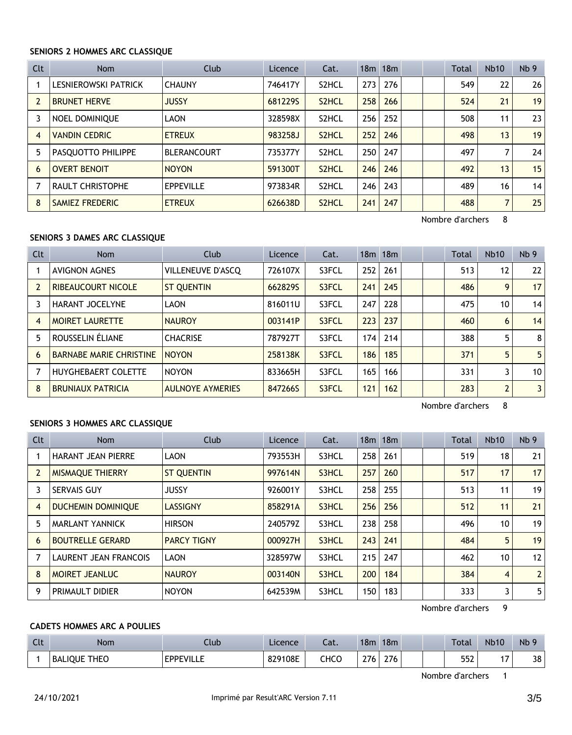#### **SENIORS 2 HOMMES ARC CLASSIQUE**

| Clt            | <b>Nom</b>              | Club               | Licence | Cat.               |     | 18 <sub>m</sub> 18 <sub>m</sub> |  | Total | <b>Nb10</b> | Nb <sub>9</sub> |
|----------------|-------------------------|--------------------|---------|--------------------|-----|---------------------------------|--|-------|-------------|-----------------|
|                | LESNIEROWSKI PATRICK    | <b>CHAUNY</b>      | 746417Y | S <sub>2</sub> HCL | 273 | 276                             |  | 549   | 22          | 26              |
| $\overline{2}$ | <b>BRUNET HERVE</b>     | <b>JUSSY</b>       | 6812295 | S <sub>2</sub> HCL | 258 | 266                             |  | 524   | 21          | 19              |
| 3              | <b>NOEL DOMINIOUE</b>   | LAON               | 328598X | S <sub>2</sub> HCL | 256 | 252                             |  | 508   | 11          | 23              |
| $\overline{4}$ | <b>VANDIN CEDRIC</b>    | <b>ETREUX</b>      | 983258J | S <sub>2</sub> HCL | 252 | 246                             |  | 498   | 13          | 19              |
| 5              | PASQUOTTO PHILIPPE      | <b>BLERANCOURT</b> | 735377Y | S2HCL              | 250 | 247                             |  | 497   |             | 24              |
| 6              | <b>OVERT BENOIT</b>     | <b>NOYON</b>       | 591300T | S <sub>2</sub> HCL | 246 | 246                             |  | 492   | 13          | 15              |
|                | <b>RAULT CHRISTOPHE</b> | <b>EPPEVILLE</b>   | 973834R | S <sub>2</sub> HCL | 246 | 243                             |  | 489   | 16          | 14              |
| 8              | <b>SAMIEZ FREDERIC</b>  | <b>ETREUX</b>      | 626638D | S <sub>2</sub> HCL | 241 | 247                             |  | 488   | 7           | 25              |

Nombre d'archers 8

## **SENIORS 3 DAMES ARC CLASSIQUE**

| Clt            | <b>Nom</b>                     | Club                    | Licence | Cat.  |     | $18m$ 18 $m$ |  | Total | <b>Nb10</b>    | Nb <sub>9</sub> |
|----------------|--------------------------------|-------------------------|---------|-------|-----|--------------|--|-------|----------------|-----------------|
|                | <b>AVIGNON AGNES</b>           | VILLENEUVE D'ASCO       | 726107X | S3FCL | 252 | 261          |  | 513   | 12             | 22              |
| $\overline{2}$ | <b>RIBEAUCOURT NICOLE</b>      | <b>ST OUENTIN</b>       | 6628295 | S3FCL | 241 | 245          |  | 486   | 9              | 17              |
|                | <b>HARANT JOCELYNE</b>         | LAON                    | 816011U | S3FCL | 247 | 228          |  | 475   | 10             | 14              |
| 4              | <b>MOIRET LAURETTE</b>         | <b>NAUROY</b>           | 003141P | S3FCL | 223 | 237          |  | 460   | 6              | 14              |
| 5              | ROUSSELIN ÉLIANE               | <b>CHACRISE</b>         | 787927T | S3FCL | 174 | 214          |  | 388   | 5              | 8 <sup>1</sup>  |
| 6              | <b>BARNABE MARIE CHRISTINE</b> | <b>NOYON</b>            | 258138K | S3FCL | 186 | 185          |  | 371   | 5              | 5 <sup>1</sup>  |
|                | <b>HUYGHEBAERT COLETTE</b>     | <b>NOYON</b>            | 833665H | S3FCL | 165 | 166          |  | 331   | 3              | 10 <sup>1</sup> |
| 8              | <b>BRUNIAUX PATRICIA</b>       | <b>AULNOYE AYMERIES</b> | 847266S | S3FCL | 121 | 162          |  | 283   | $\overline{2}$ | 3 <sup>1</sup>  |

Nombre d'archers 8

#### **SENIORS 3 HOMMES ARC CLASSIQUE**

| Clt | <b>Nom</b>                   | Club               | Licence | Cat.  |     | 18 <sub>m</sub> 18 <sub>m</sub> |  | <b>Total</b> | Nb10           | Nb <sub>9</sub> |
|-----|------------------------------|--------------------|---------|-------|-----|---------------------------------|--|--------------|----------------|-----------------|
|     | <b>HARANT JEAN PIERRE</b>    | LAON               | 793553H | S3HCL | 258 | 261                             |  | 519          | 18             | 21              |
|     | MISMAQUE THIERRY             | <b>ST QUENTIN</b>  | 997614N | S3HCL | 257 | 260                             |  | 517          | 17             | 17 <sup>1</sup> |
| 3   | <b>SERVAIS GUY</b>           | <b>JUSSY</b>       | 926001Y | S3HCL | 258 | 255                             |  | 513          | 11             | 19              |
| 4   | <b>DUCHEMIN DOMINIQUE</b>    | <b>LASSIGNY</b>    | 858291A | S3HCL | 256 | 256                             |  | 512          | 11             | 21              |
| 5   | <b>MARLANT YANNICK</b>       | <b>HIRSON</b>      | 240579Z | S3HCL | 238 | 258                             |  | 496          | 10             | 19              |
| 6   | <b>BOUTRELLE GERARD</b>      | <b>PARCY TIGNY</b> | 000927H | S3HCL | 243 | 241                             |  | 484          | 5              | 19 <sup>1</sup> |
|     | <b>LAURENT JEAN FRANCOIS</b> | LAON               | 328597W | S3HCL | 215 | 247                             |  | 462          | 10             | 12              |
| 8   | MOIRET JEANLUC               | <b>NAUROY</b>      | 003140N | S3HCL | 200 | 184                             |  | 384          | $\overline{4}$ | 2 <sup>1</sup>  |
| 9   | <b>PRIMAULT DIDIER</b>       | <b>NOYON</b>       | 642539M | S3HCL | 150 | 183                             |  | 333          | 3              | 5 <sub>1</sub>  |

Nombre d'archers 9

## **CADETS HOMMES ARC A POULIES**

| Clt | Nom                           | Jub              | Licence | $\sim$<br>cal. | 18m | 18 <sub>m</sub> |  | Total | <b>Nb10</b>                     | Nb <sub>9</sub> |
|-----|-------------------------------|------------------|---------|----------------|-----|-----------------|--|-------|---------------------------------|-----------------|
|     | <b>THEC</b><br><b>BALIOUE</b> | <b>EPPEVILLE</b> | 829108E | снсо           | 276 | 276             |  | 552   | $\overline{\phantom{a}}$<br>. . | 38              |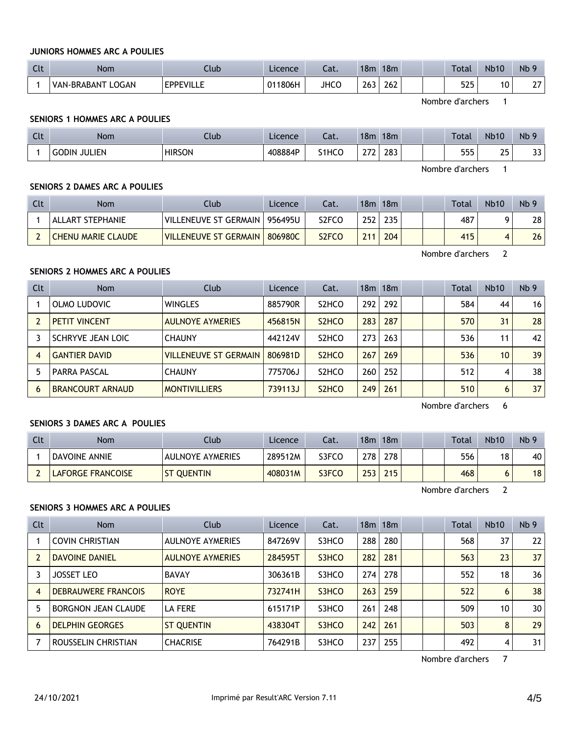### **JUNIORS HOMMES ARC A POULIES**

| $\sim$<br>ີ | Nom                         | Club                    | Licence | $\sim$<br>-aι. | 18 <sub>m</sub> | 18m |  | Total | <b>Nb10</b> | Nb <sub>5</sub>     |
|-------------|-----------------------------|-------------------------|---------|----------------|-----------------|-----|--|-------|-------------|---------------------|
|             | LOGAN<br><b>VAN-BRABANT</b> | <b>FDDFVIII</b><br>---- | 011806H | <b>JHCC</b>    | $\sim$<br>263   | 262 |  | 525   | 10          | $\sim$ $\sim$<br>,, |

Nombre d'archers 1

## **SENIORS 1 HOMMES ARC A POULIES**

| C14<br>นเ | Nom             | Club          | Licence | $\sim$<br>-aι. | 18 <sub>m</sub> | 18 <sub>m</sub> |  | Total     | <b>Nb10</b>     | Nb <sub>9</sub> |
|-----------|-----------------|---------------|---------|----------------|-----------------|-----------------|--|-----------|-----------------|-----------------|
|           | JULIEN<br>GODIN | <b>HIRSON</b> | 408884P | S1HCO          | $\sim$ $-$      | 283<br>$\sim$   |  | ᄄᄄ<br>JJJ | つに<br>ر _<br>__ | ר כ<br>ر ر      |

Nombre d'archers 1

## **SENIORS 2 DAMES ARC A POULIES**

| Clt | Nom                       | Club                           | Licence | Cat.               |     | 18m 18m |  | Total | <b>Nb10</b> | Nb <sub>9</sub> |
|-----|---------------------------|--------------------------------|---------|--------------------|-----|---------|--|-------|-------------|-----------------|
|     | ALLART STEPHANIE          | VILLENEUVE ST GERMAIN          | 956495U | S <sub>2</sub> FCO | 252 | 235     |  | 487   |             | 28              |
|     | <b>CHENU MARIE CLAUDE</b> | <b>VILLENEUVE ST GERMAIN  </b> | 806980C | S <sub>2</sub> FCO | 211 | 204     |  | 415   |             | 26              |

Nombre d'archers 2

## **SENIORS 2 HOMMES ARC A POULIES**

| Clt | <b>Nom</b>              | Club                         | Licence | Cat.                           |     | $18m$ 18 $m$ |  | Total | Nb10            | Nb <sub>9</sub> |
|-----|-------------------------|------------------------------|---------|--------------------------------|-----|--------------|--|-------|-----------------|-----------------|
|     | OLMO LUDOVIC            | <b>WINGLES</b>               | 885790R | S <sub>2</sub> HCO             | 292 | 292          |  | 584   | 44              | 16 <sup>1</sup> |
|     | <b>PETIT VINCENT</b>    | <b>AULNOYE AYMERIES</b>      | 456815N | S <sub>2</sub> H <sub>CO</sub> | 283 | 287          |  | 570   | 31              | 28              |
|     | SCHRYVE JEAN LOIC       | <b>CHAUNY</b>                | 442124V | S <sub>2</sub> HCO             | 273 | 263          |  | 536   | 11              | 42              |
| 4   | <b>GANTIER DAVID</b>    | <b>VILLENEUVE ST GERMAIN</b> | 806981D | S <sub>2</sub> H <sub>CO</sub> | 267 | 269          |  | 536   | 10 <sup>°</sup> | 39 <sub>1</sub> |
| 5   | PARRA PASCAL            | <b>CHAUNY</b>                | 775706J | S <sub>2</sub> HCO             | 260 | 252          |  | 512   | 4               | 38 <sub>1</sub> |
| 6   | <b>BRANCOURT ARNAUD</b> | <b>MONTIVILLIERS</b>         | 739113J | S <sub>2</sub> H <sub>CO</sub> | 249 | 261          |  | 510   | 6               | 37              |

Nombre d'archers 6

## **SENIORS 3 DAMES ARC A POULIES**

| Clt | <b>Nom</b>               | Club                    | Licence | Cat.  | 18 <sub>m</sub> | 18 <sub>m</sub> |  | <b>Total</b> | <b>Nb10</b> | Nb <sub>9</sub> |
|-----|--------------------------|-------------------------|---------|-------|-----------------|-----------------|--|--------------|-------------|-----------------|
|     | <b>DAVOINE ANNIE</b>     | <b>AULNOYE AYMERIES</b> | 289512M | S3FCO | ?78             | 278             |  | 556          | 18          | 40              |
|     | <b>LAFORGE FRANCOISE</b> | <b>ST QUENTIN</b>       | 408031M | S3FCO | 253             | 215             |  | 468          |             | 18              |

Nombre d'archers 2

#### **SENIORS 3 HOMMES ARC A POULIES**

| Clt            | Nom                        | Club                    | Licence | Cat.  |     | 18m 18m |  | Total | <b>Nb10</b> | Nb <sub>9</sub>   |
|----------------|----------------------------|-------------------------|---------|-------|-----|---------|--|-------|-------------|-------------------|
|                | <b>COVIN CHRISTIAN</b>     | <b>AULNOYE AYMERIES</b> | 847269V | S3HCO | 288 | 280     |  | 568   | 37          | $22 \overline{ }$ |
| $\overline{2}$ | <b>DAVOINE DANIEL</b>      | <b>AULNOYE AYMERIES</b> | 284595T | S3HCO | 282 | 281     |  | 563   | 23          | 37                |
| 3              | <b>JOSSET LEO</b>          | <b>BAVAY</b>            | 306361B | S3HCO | 274 | 278     |  | 552   | 18          | 36                |
| $\overline{4}$ | <b>DEBRAUWERE FRANCOIS</b> | <b>ROYE</b>             | 732741H | S3HCO | 263 | 259     |  | 522   | 6           | 38                |
| 5              | <b>BORGNON JEAN CLAUDE</b> | <b>LA FERE</b>          | 615171P | S3HCO | 261 | 248     |  | 509   | 10          | 30                |
| 6              | <b>DELPHIN GEORGES</b>     | <b>ST QUENTIN</b>       | 438304T | S3HCO | 242 | 261     |  | 503   | 8           | 29                |
|                | ROUSSELIN CHRISTIAN        | <b>CHACRISE</b>         | 764291B | S3HCO | 237 | 255     |  | 492   | 4           | 31                |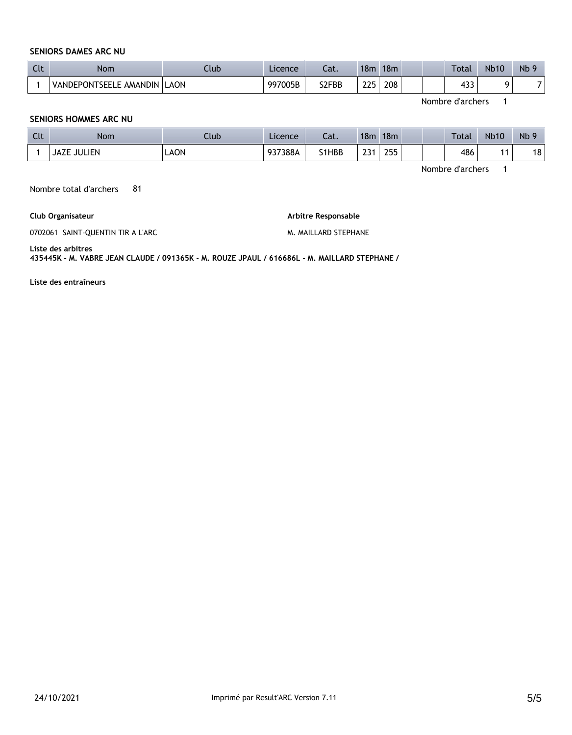## **SENIORS DAMES ARC NU**

| $\sim$<br>ີ | Nom                    | Club | Licence | $\sim$<br>-aι. | 18 <sub>m</sub> | 18 <sub>m</sub> |  | Total     | <b>Nb10</b> | Nb <sub>6</sub> |
|-------------|------------------------|------|---------|----------------|-----------------|-----------------|--|-----------|-------------|-----------------|
|             | VANDEPONTSEELE AMANDIN | LAON | 997005B | S2FBB          | つつに             | 208             |  | دە<br>دد+ |             |                 |

Nombre d'archers 1

#### **SENIORS HOMMES ARC NU**

| C14<br>しいし | Nom         | Club | Licence | $-1$<br>Jal. | 18 <sub>m</sub> | 18m          | Total | <b>Nb10</b> | Nb <sub>9</sub> |
|------------|-------------|------|---------|--------------|-----------------|--------------|-------|-------------|-----------------|
|            | JAZE JULIEN | LAON | 937388A | S1HBB        | ີ<br>رے<br>__   | つらら<br>ـ ۔ ۔ | 486   | . .         | ا 18            |

Nombre d'archers 1

Nombre total d'archers 81

**Club Organisateur**

**Arbitre Responsable** 

0702061 SAINT-QUENTIN TIR A L'ARC

M. MAILLARD STEPHANE

**Liste des arbitres** 

**435445K - M. VABRE JEAN CLAUDE / 091365K - M. ROUZE JPAUL / 616686L - M. MAILLARD STEPHANE /** 

**Liste des entraîneurs**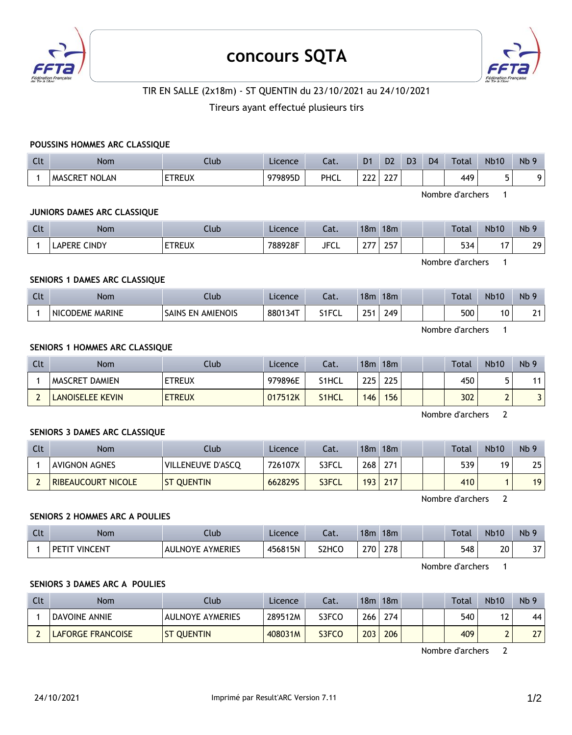

## **concours SQTA**



## TIR EN SALLE (2x18m) - ST QUENTIN du 23/10/2021 au 24/10/2021

## Tireurs ayant effectué plusieurs tirs

#### **POUSSINS HOMMES ARC CLASSIQUE**

| Clt | <b>Nom</b>                     | Ilub          | Licence | Cat.        | D <sub>1</sub> | D <sub>2</sub> | D3 | D <sub>4</sub> | Total | <b>Nb10</b> | Nb <sub>9</sub> |
|-----|--------------------------------|---------------|---------|-------------|----------------|----------------|----|----------------|-------|-------------|-----------------|
|     | <b>NOLAN</b><br><b>MASCRET</b> | <b>ETREUX</b> | 979895D | <b>PHCL</b> | $\sim$<br>---  | ~~~<br>LLI     |    |                | 449   | π.          |                 |

Nombre d'archers 1

#### **JUNIORS DAMES ARC CLASSIQUE**

| Clt | <b>Nom</b>             | Club          | Licence | $\sim$<br>Jal. | 18 <sub>m</sub> | 18m       | Total            | <b>Nb10</b> | Nb |
|-----|------------------------|---------------|---------|----------------|-----------------|-----------|------------------|-------------|----|
|     | <b>CINDY</b><br>LAPERE | <b>ETREUX</b> | 788928F | <b>JFCL</b>    | $\sim$<br>. .   | 2F<br>، ب | $-1$<br>34<br>JJ |             | 29 |

Nombre d'archers 1

## **SENIORS 1 DAMES ARC CLASSIQUE**

| $\sim$<br>uu | <b>Nom</b>                       | Llub                                  | Licence    | $-1$<br>cal. | 18m       | 18 <sub>m</sub> |  | Total | <b>Nb10</b> | N <sub>b</sub> |
|--------------|----------------------------------|---------------------------------------|------------|--------------|-----------|-----------------|--|-------|-------------|----------------|
|              | <b>MARINE</b><br><b>NICODEME</b> | <b>AMIENOIS</b><br><b>SAINS</b><br>EN | $880134$ T | S1FCL        | つにっ<br>__ | 249             |  | 500   | 10          | 24             |

Nombre d'archers 1

#### **SENIORS 1 HOMMES ARC CLASSIQUE**

| Clt | <b>Nom</b>              | Club          | Licence | Cat.  | 18m | 18m |  | <b>Total</b> | <b>Nb10</b> | Nb <sub>9</sub> |
|-----|-------------------------|---------------|---------|-------|-----|-----|--|--------------|-------------|-----------------|
|     | I MASCRET DAMIEN        | <b>ETREUX</b> | 979896E | S1HCL | 225 | 225 |  | 450          |             | 11              |
|     | <b>LANOISELEE KEVIN</b> | <b>ETREUX</b> | 017512K | S1HCL | 146 | 156 |  | 302          |             |                 |

Nombre d'archers 2

## **SENIORS 3 DAMES ARC CLASSIQUE**

| Clt | Nom                  | Club              | Licence | Cat.  | 18 <sub>m</sub> | 18m |  | Total | <b>Nb10</b> | Nb <sub>9</sub> |
|-----|----------------------|-------------------|---------|-------|-----------------|-----|--|-------|-------------|-----------------|
|     | <b>AVIGNON AGNES</b> | VILLENEUVE D'ASCO | 726107X | S3FCL | 268             | 271 |  | 539   | 19          | 25              |
|     | RIBEAUCOURT NICOLE   | <b>ST OUENTIN</b> | 6628295 | S3FCL | 193             | 217 |  | 410   |             | 19 <sub>1</sub> |

Nombre d'archers 2

#### **SENIORS 2 HOMMES ARC A POULIES**

| Clt | <b>Nom</b>             | Club                                  | Licence | $\sim$<br>cal.     | 18 <sub>m</sub> | 18 <sub>m</sub> |  | Total | <b>Nb10</b> | N <sub>b</sub> 9 |
|-----|------------------------|---------------------------------------|---------|--------------------|-----------------|-----------------|--|-------|-------------|------------------|
|     | <b>VINCENT</b><br>DE T | <b>AYMERIES</b><br><b>NOYE</b><br>AU' | 456815N | S <sub>2</sub> HCO | 270             | 278             |  | 548   | 20          | $\sim$<br>، د    |

Nombre d'archers 1

## **SENIORS 3 DAMES ARC A POULIES**

| Clt | Nom                      | Club.                   | Licence | Cat.  | 18m | 18m |  | Total | <b>Nb10</b> | Nb <sub>9</sub> |
|-----|--------------------------|-------------------------|---------|-------|-----|-----|--|-------|-------------|-----------------|
|     | <b>DAVOINE ANNIE</b>     | <b>AULNOYE AYMERIES</b> | 289512M | S3FCO | 266 | 274 |  | 540   | $\epsilon$  | 44              |
|     | <b>LAFORGE FRANCOISE</b> | <b>ST OUENTIN</b>       | 408031M | S3FCO | 203 | 206 |  | 409   |             | 27              |